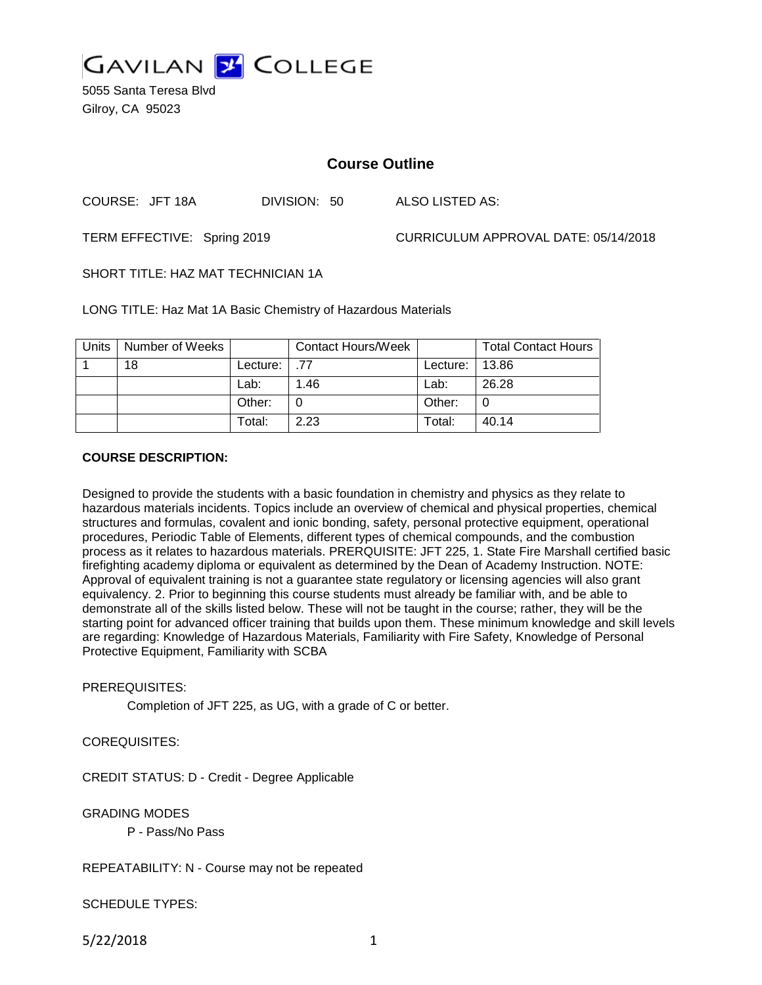

5055 Santa Teresa Blvd Gilroy, CA 95023

# **Course Outline**

COURSE: JFT 18A DIVISION: 50 ALSO LISTED AS:

TERM EFFECTIVE: Spring 2019 CURRICULUM APPROVAL DATE: 05/14/2018

SHORT TITLE: HAZ MAT TECHNICIAN 1A

LONG TITLE: Haz Mat 1A Basic Chemistry of Hazardous Materials

| Units | Number of Weeks |            | <b>Contact Hours/Week</b> |          | <b>Total Contact Hours</b> |
|-------|-----------------|------------|---------------------------|----------|----------------------------|
|       | 18              | Lecture: I | .77                       | Lecture: | 13.86                      |
|       |                 | Lab:       | 1.46                      | Lab:     | 26.28                      |
|       |                 | Other:     |                           | Other:   | 0                          |
|       |                 | Total:     | 2.23                      | Total:   | 40.14                      |

#### **COURSE DESCRIPTION:**

Designed to provide the students with a basic foundation in chemistry and physics as they relate to hazardous materials incidents. Topics include an overview of chemical and physical properties, chemical structures and formulas, covalent and ionic bonding, safety, personal protective equipment, operational procedures, Periodic Table of Elements, different types of chemical compounds, and the combustion process as it relates to hazardous materials. PRERQUISITE: JFT 225, 1. State Fire Marshall certified basic firefighting academy diploma or equivalent as determined by the Dean of Academy Instruction. NOTE: Approval of equivalent training is not a guarantee state regulatory or licensing agencies will also grant equivalency. 2. Prior to beginning this course students must already be familiar with, and be able to demonstrate all of the skills listed below. These will not be taught in the course; rather, they will be the starting point for advanced officer training that builds upon them. These minimum knowledge and skill levels are regarding: Knowledge of Hazardous Materials, Familiarity with Fire Safety, Knowledge of Personal Protective Equipment, Familiarity with SCBA

#### PREREQUISITES:

Completion of JFT 225, as UG, with a grade of C or better.

# COREQUISITES:

CREDIT STATUS: D - Credit - Degree Applicable

#### GRADING MODES

P - Pass/No Pass

# REPEATABILITY: N - Course may not be repeated

SCHEDULE TYPES:

5/22/2018 1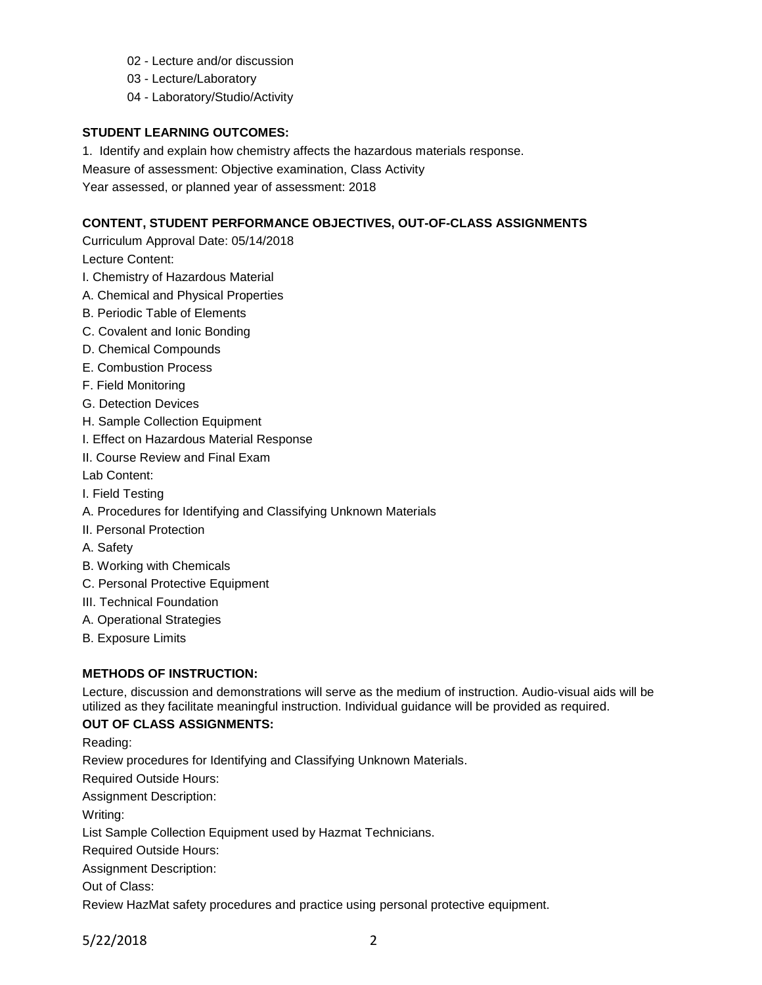- 02 Lecture and/or discussion
- 03 Lecture/Laboratory
- 04 Laboratory/Studio/Activity

#### **STUDENT LEARNING OUTCOMES:**

1. Identify and explain how chemistry affects the hazardous materials response.

Measure of assessment: Objective examination, Class Activity

Year assessed, or planned year of assessment: 2018

# **CONTENT, STUDENT PERFORMANCE OBJECTIVES, OUT-OF-CLASS ASSIGNMENTS**

Curriculum Approval Date: 05/14/2018

Lecture Content:

- I. Chemistry of Hazardous Material
- A. Chemical and Physical Properties
- B. Periodic Table of Elements
- C. Covalent and Ionic Bonding
- D. Chemical Compounds
- E. Combustion Process
- F. Field Monitoring
- G. Detection Devices
- H. Sample Collection Equipment
- I. Effect on Hazardous Material Response
- II. Course Review and Final Exam

Lab Content:

- I. Field Testing
- A. Procedures for Identifying and Classifying Unknown Materials
- II. Personal Protection
- A. Safety
- B. Working with Chemicals
- C. Personal Protective Equipment
- III. Technical Foundation
- A. Operational Strategies
- B. Exposure Limits

# **METHODS OF INSTRUCTION:**

Lecture, discussion and demonstrations will serve as the medium of instruction. Audio-visual aids will be utilized as they facilitate meaningful instruction. Individual guidance will be provided as required.

# **OUT OF CLASS ASSIGNMENTS:**

Reading: Review procedures for Identifying and Classifying Unknown Materials. Required Outside Hours: Assignment Description: Writing: List Sample Collection Equipment used by Hazmat Technicians. Required Outside Hours: Assignment Description: Out of Class: Review HazMat safety procedures and practice using personal protective equipment.

5/22/2018 2